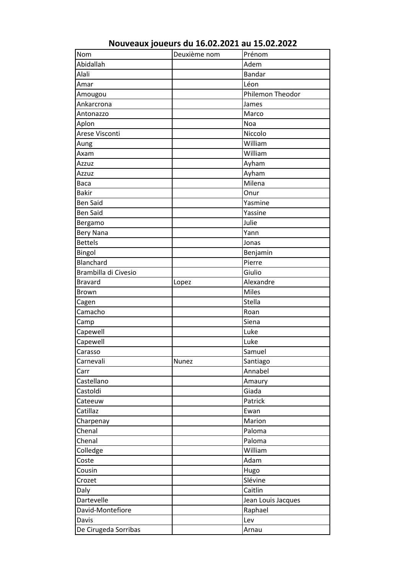| Adem<br>Alali<br><b>Bandar</b><br>Léon<br>Amar<br>Philemon Theodor<br>Amougou<br>Ankarcrona<br>James<br>Marco<br>Antonazzo<br>Noa<br>Aplon<br>Arese Visconti<br>Niccolo<br>William<br>Aung<br>William<br>Axam<br>Ayham<br>Azzuz<br>Ayham<br>Azzuz<br>Milena<br><b>Baca</b><br><b>Bakir</b><br>Onur<br><b>Ben Said</b><br>Yasmine<br><b>Ben Said</b><br>Yassine<br>Julie<br>Bergamo<br>Yann<br><b>Bery Nana</b><br><b>Bettels</b><br>Jonas<br>Bingol<br>Benjamin<br>Blanchard<br>Pierre<br>Brambilla di Civesio<br>Giulio<br>Alexandre<br><b>Bravard</b><br>Lopez<br><b>Miles</b><br><b>Brown</b><br>Stella<br>Cagen<br>Camacho<br>Roan<br>Siena<br>Camp<br>Capewell<br>Luke<br>Capewell<br>Luke<br>Samuel<br>Carasso<br>Carnevali<br>Nunez<br>Santiago<br>Annabel<br>Carr<br>Castellano<br>Amaury<br>Castoldi<br>Giada<br>Patrick<br>Cateeuw<br>Catillaz<br>Ewan<br>Marion<br>Charpenay<br>Chenal<br>Paloma<br>Chenal<br>Paloma<br>William<br>Colledge<br>Coste<br>Adam<br>Cousin<br>Hugo<br>Slévine<br>Crozet<br>Caitlin<br>Daly<br>Dartevelle<br>Jean Louis Jacques<br>Raphael<br>David-Montefiore<br>Davis<br>Lev<br>Arnau | Nom                  | Deuxième nom | Prénom |
|-------------------------------------------------------------------------------------------------------------------------------------------------------------------------------------------------------------------------------------------------------------------------------------------------------------------------------------------------------------------------------------------------------------------------------------------------------------------------------------------------------------------------------------------------------------------------------------------------------------------------------------------------------------------------------------------------------------------------------------------------------------------------------------------------------------------------------------------------------------------------------------------------------------------------------------------------------------------------------------------------------------------------------------------------------------------------------------------------------------------------------|----------------------|--------------|--------|
|                                                                                                                                                                                                                                                                                                                                                                                                                                                                                                                                                                                                                                                                                                                                                                                                                                                                                                                                                                                                                                                                                                                               | Abidallah            |              |        |
|                                                                                                                                                                                                                                                                                                                                                                                                                                                                                                                                                                                                                                                                                                                                                                                                                                                                                                                                                                                                                                                                                                                               |                      |              |        |
|                                                                                                                                                                                                                                                                                                                                                                                                                                                                                                                                                                                                                                                                                                                                                                                                                                                                                                                                                                                                                                                                                                                               |                      |              |        |
|                                                                                                                                                                                                                                                                                                                                                                                                                                                                                                                                                                                                                                                                                                                                                                                                                                                                                                                                                                                                                                                                                                                               |                      |              |        |
|                                                                                                                                                                                                                                                                                                                                                                                                                                                                                                                                                                                                                                                                                                                                                                                                                                                                                                                                                                                                                                                                                                                               |                      |              |        |
|                                                                                                                                                                                                                                                                                                                                                                                                                                                                                                                                                                                                                                                                                                                                                                                                                                                                                                                                                                                                                                                                                                                               |                      |              |        |
|                                                                                                                                                                                                                                                                                                                                                                                                                                                                                                                                                                                                                                                                                                                                                                                                                                                                                                                                                                                                                                                                                                                               |                      |              |        |
|                                                                                                                                                                                                                                                                                                                                                                                                                                                                                                                                                                                                                                                                                                                                                                                                                                                                                                                                                                                                                                                                                                                               |                      |              |        |
|                                                                                                                                                                                                                                                                                                                                                                                                                                                                                                                                                                                                                                                                                                                                                                                                                                                                                                                                                                                                                                                                                                                               |                      |              |        |
|                                                                                                                                                                                                                                                                                                                                                                                                                                                                                                                                                                                                                                                                                                                                                                                                                                                                                                                                                                                                                                                                                                                               |                      |              |        |
|                                                                                                                                                                                                                                                                                                                                                                                                                                                                                                                                                                                                                                                                                                                                                                                                                                                                                                                                                                                                                                                                                                                               |                      |              |        |
|                                                                                                                                                                                                                                                                                                                                                                                                                                                                                                                                                                                                                                                                                                                                                                                                                                                                                                                                                                                                                                                                                                                               |                      |              |        |
|                                                                                                                                                                                                                                                                                                                                                                                                                                                                                                                                                                                                                                                                                                                                                                                                                                                                                                                                                                                                                                                                                                                               |                      |              |        |
|                                                                                                                                                                                                                                                                                                                                                                                                                                                                                                                                                                                                                                                                                                                                                                                                                                                                                                                                                                                                                                                                                                                               |                      |              |        |
|                                                                                                                                                                                                                                                                                                                                                                                                                                                                                                                                                                                                                                                                                                                                                                                                                                                                                                                                                                                                                                                                                                                               |                      |              |        |
|                                                                                                                                                                                                                                                                                                                                                                                                                                                                                                                                                                                                                                                                                                                                                                                                                                                                                                                                                                                                                                                                                                                               |                      |              |        |
|                                                                                                                                                                                                                                                                                                                                                                                                                                                                                                                                                                                                                                                                                                                                                                                                                                                                                                                                                                                                                                                                                                                               |                      |              |        |
|                                                                                                                                                                                                                                                                                                                                                                                                                                                                                                                                                                                                                                                                                                                                                                                                                                                                                                                                                                                                                                                                                                                               |                      |              |        |
|                                                                                                                                                                                                                                                                                                                                                                                                                                                                                                                                                                                                                                                                                                                                                                                                                                                                                                                                                                                                                                                                                                                               |                      |              |        |
|                                                                                                                                                                                                                                                                                                                                                                                                                                                                                                                                                                                                                                                                                                                                                                                                                                                                                                                                                                                                                                                                                                                               |                      |              |        |
|                                                                                                                                                                                                                                                                                                                                                                                                                                                                                                                                                                                                                                                                                                                                                                                                                                                                                                                                                                                                                                                                                                                               |                      |              |        |
|                                                                                                                                                                                                                                                                                                                                                                                                                                                                                                                                                                                                                                                                                                                                                                                                                                                                                                                                                                                                                                                                                                                               |                      |              |        |
|                                                                                                                                                                                                                                                                                                                                                                                                                                                                                                                                                                                                                                                                                                                                                                                                                                                                                                                                                                                                                                                                                                                               |                      |              |        |
|                                                                                                                                                                                                                                                                                                                                                                                                                                                                                                                                                                                                                                                                                                                                                                                                                                                                                                                                                                                                                                                                                                                               |                      |              |        |
|                                                                                                                                                                                                                                                                                                                                                                                                                                                                                                                                                                                                                                                                                                                                                                                                                                                                                                                                                                                                                                                                                                                               |                      |              |        |
|                                                                                                                                                                                                                                                                                                                                                                                                                                                                                                                                                                                                                                                                                                                                                                                                                                                                                                                                                                                                                                                                                                                               |                      |              |        |
|                                                                                                                                                                                                                                                                                                                                                                                                                                                                                                                                                                                                                                                                                                                                                                                                                                                                                                                                                                                                                                                                                                                               |                      |              |        |
|                                                                                                                                                                                                                                                                                                                                                                                                                                                                                                                                                                                                                                                                                                                                                                                                                                                                                                                                                                                                                                                                                                                               |                      |              |        |
|                                                                                                                                                                                                                                                                                                                                                                                                                                                                                                                                                                                                                                                                                                                                                                                                                                                                                                                                                                                                                                                                                                                               |                      |              |        |
|                                                                                                                                                                                                                                                                                                                                                                                                                                                                                                                                                                                                                                                                                                                                                                                                                                                                                                                                                                                                                                                                                                                               |                      |              |        |
|                                                                                                                                                                                                                                                                                                                                                                                                                                                                                                                                                                                                                                                                                                                                                                                                                                                                                                                                                                                                                                                                                                                               |                      |              |        |
|                                                                                                                                                                                                                                                                                                                                                                                                                                                                                                                                                                                                                                                                                                                                                                                                                                                                                                                                                                                                                                                                                                                               |                      |              |        |
|                                                                                                                                                                                                                                                                                                                                                                                                                                                                                                                                                                                                                                                                                                                                                                                                                                                                                                                                                                                                                                                                                                                               |                      |              |        |
|                                                                                                                                                                                                                                                                                                                                                                                                                                                                                                                                                                                                                                                                                                                                                                                                                                                                                                                                                                                                                                                                                                                               |                      |              |        |
|                                                                                                                                                                                                                                                                                                                                                                                                                                                                                                                                                                                                                                                                                                                                                                                                                                                                                                                                                                                                                                                                                                                               |                      |              |        |
|                                                                                                                                                                                                                                                                                                                                                                                                                                                                                                                                                                                                                                                                                                                                                                                                                                                                                                                                                                                                                                                                                                                               |                      |              |        |
|                                                                                                                                                                                                                                                                                                                                                                                                                                                                                                                                                                                                                                                                                                                                                                                                                                                                                                                                                                                                                                                                                                                               |                      |              |        |
|                                                                                                                                                                                                                                                                                                                                                                                                                                                                                                                                                                                                                                                                                                                                                                                                                                                                                                                                                                                                                                                                                                                               |                      |              |        |
|                                                                                                                                                                                                                                                                                                                                                                                                                                                                                                                                                                                                                                                                                                                                                                                                                                                                                                                                                                                                                                                                                                                               |                      |              |        |
|                                                                                                                                                                                                                                                                                                                                                                                                                                                                                                                                                                                                                                                                                                                                                                                                                                                                                                                                                                                                                                                                                                                               |                      |              |        |
|                                                                                                                                                                                                                                                                                                                                                                                                                                                                                                                                                                                                                                                                                                                                                                                                                                                                                                                                                                                                                                                                                                                               |                      |              |        |
|                                                                                                                                                                                                                                                                                                                                                                                                                                                                                                                                                                                                                                                                                                                                                                                                                                                                                                                                                                                                                                                                                                                               |                      |              |        |
|                                                                                                                                                                                                                                                                                                                                                                                                                                                                                                                                                                                                                                                                                                                                                                                                                                                                                                                                                                                                                                                                                                                               |                      |              |        |
|                                                                                                                                                                                                                                                                                                                                                                                                                                                                                                                                                                                                                                                                                                                                                                                                                                                                                                                                                                                                                                                                                                                               |                      |              |        |
|                                                                                                                                                                                                                                                                                                                                                                                                                                                                                                                                                                                                                                                                                                                                                                                                                                                                                                                                                                                                                                                                                                                               |                      |              |        |
|                                                                                                                                                                                                                                                                                                                                                                                                                                                                                                                                                                                                                                                                                                                                                                                                                                                                                                                                                                                                                                                                                                                               |                      |              |        |
|                                                                                                                                                                                                                                                                                                                                                                                                                                                                                                                                                                                                                                                                                                                                                                                                                                                                                                                                                                                                                                                                                                                               |                      |              |        |
|                                                                                                                                                                                                                                                                                                                                                                                                                                                                                                                                                                                                                                                                                                                                                                                                                                                                                                                                                                                                                                                                                                                               | De Cirugeda Sorribas |              |        |

**Nouveaux joueurs du 16.02.2021 au 15.02.2022**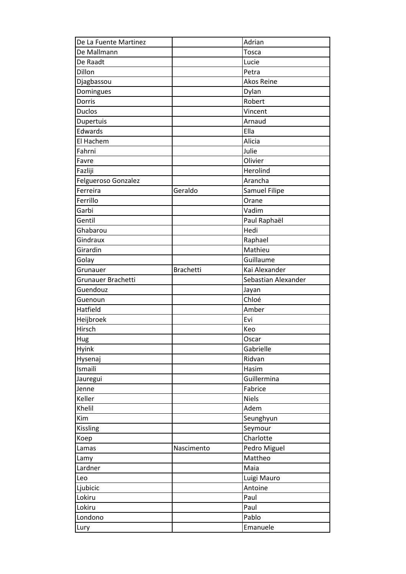| De La Fuente Martinez |                  | Adrian               |
|-----------------------|------------------|----------------------|
| De Mallmann           |                  | Tosca                |
| De Raadt              |                  |                      |
| Dillon                |                  | Lucie<br>Petra       |
|                       |                  | <b>Akos Reine</b>    |
| Djagbassou            |                  |                      |
| Domingues<br>Dorris   |                  | Dylan                |
|                       |                  | Robert               |
| <b>Duclos</b>         |                  | Vincent              |
| Dupertuis             |                  | Arnaud               |
| Edwards               |                  | Ella                 |
| El Hachem             |                  | Alicia               |
| Fahrni                |                  | Julie                |
| Favre                 |                  | Olivier              |
| Fazliji               |                  | Herolind             |
| Felgueroso Gonzalez   |                  | Arancha              |
| Ferreira              | Geraldo          | <b>Samuel Filipe</b> |
| Ferrillo              |                  | Orane                |
| Garbi                 |                  | Vadim                |
| Gentil                |                  | Paul Raphaël         |
| Ghabarou              |                  | Hedi                 |
| Gindraux              |                  | Raphael              |
| Girardin              |                  | Mathieu              |
| Golay                 |                  | Guillaume            |
| Grunauer              | <b>Brachetti</b> | Kai Alexander        |
| Grunauer Brachetti    |                  | Sebastian Alexander  |
| Guendouz              |                  | Jayan                |
| Guenoun               |                  | Chloé                |
| Hatfield              |                  | Amber                |
| Heijbroek             |                  | Evi                  |
| Hirsch                |                  | Keo                  |
| Hug                   |                  | Oscar                |
| Hyink                 |                  | Gabrielle            |
| Hysenaj               |                  | Ridvan               |
| Ismaili               |                  | Hasim                |
| Jauregui              |                  | Guillermina          |
| Jenne                 |                  | Fabrice              |
| Keller                |                  | <b>Niels</b>         |
| Khelil                |                  | Adem                 |
| Kim                   |                  | Seunghyun            |
| Kissling              |                  | Seymour              |
| Koep                  |                  | Charlotte            |
| Lamas                 | Nascimento       | Pedro Miguel         |
| Lamy                  |                  | Mattheo              |
| Lardner               |                  | Maia                 |
| Leo                   |                  | Luigi Mauro          |
| Ljubicic              |                  | Antoine              |
| Lokiru                |                  | Paul                 |
| Lokiru                |                  | Paul                 |
| Londono               |                  | Pablo                |
| Lury                  |                  | Emanuele             |
|                       |                  |                      |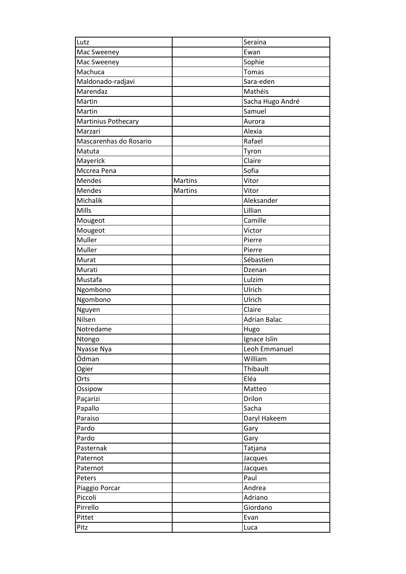| Lutz                   |         | Seraina             |
|------------------------|---------|---------------------|
| Mac Sweeney            |         | Ewan                |
| Mac Sweeney            |         | Sophie              |
| Machuca                |         | <b>Tomas</b>        |
| Maldonado-radjavi      |         | Sara-eden           |
| Marendaz               |         | Mathéis             |
| Martin                 |         | Sacha Hugo André    |
| Martin                 |         | Samuel              |
| Martinius Pothecary    |         | Aurora              |
| Marzari                |         | Alexia              |
| Mascarenhas do Rosario |         | Rafael              |
| Matuta                 |         | Tyron               |
| Mayerick               |         | Claire              |
| Mccrea Pena            |         | Sofia               |
| Mendes                 | Martins | Vitor               |
| Mendes                 | Martins | Vitor               |
| Michalik               |         | Aleksander          |
| Mills                  |         | Lillian             |
| Mougeot                |         | Camille             |
| Mougeot                |         | Victor              |
| Muller                 |         | Pierre              |
| Muller                 |         | Pierre              |
| Murat                  |         | Sébastien           |
| Murati                 |         | Dzenan              |
| Mustafa                |         | Lulzim              |
| Ngombono               |         | Ulrich              |
| Ngombono               |         | Ulrich              |
| Nguyen                 |         | Claire              |
| Nilsen                 |         | <b>Adrian Balac</b> |
| Notredame              |         | Hugo                |
| Ntongo                 |         | Ignace Islin        |
| Nyasse Nya             |         | Leoh Emmanuel       |
| Ödman                  |         | William             |
| Ogier                  |         | Thibault            |
| Orts                   |         | Eléa                |
| Ossipow                |         | Matteo              |
| Paçarizi               |         | Drilon              |
| Papallo                |         | Sacha               |
| Paraiso                |         | Daryl Hakeem        |
| Pardo                  |         | Gary                |
| Pardo                  |         | Gary                |
| Pasternak              |         | Tatjana             |
| Paternot               |         | Jacques             |
| Paternot               |         | Jacques             |
| Peters                 |         | Paul                |
| Piaggio Porcar         |         | Andrea              |
| Piccoli                |         | Adriano             |
| Pirrello               |         |                     |
|                        |         | Giordano            |
| Pittet                 |         | Evan                |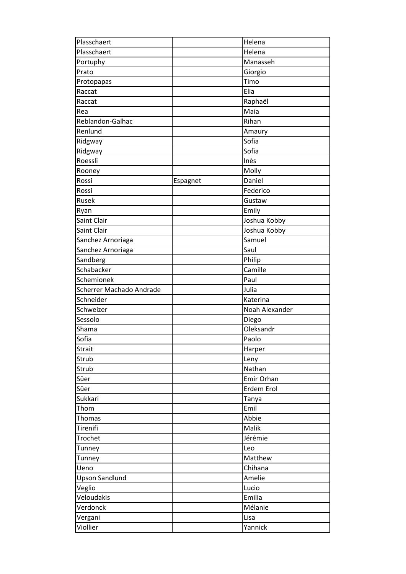| Plasschaert              |          | Helena                     |
|--------------------------|----------|----------------------------|
| Plasschaert              |          | Helena                     |
| Portuphy                 |          | Manasseh                   |
| Prato                    |          | Giorgio                    |
| Protopapas               |          | Timo                       |
| Raccat                   |          | Elia                       |
| Raccat                   |          | Raphaël                    |
| Rea                      |          | Maia                       |
| Reblandon-Galhac         |          | Rihan                      |
| Renlund                  |          | Amaury                     |
| Ridgway                  |          | Sofia                      |
| Ridgway                  |          | $\overline{\mathsf{Soft}}$ |
| Roessli                  |          | Inès                       |
| Rooney                   |          | Molly                      |
| Rossi                    | Espagnet | Daniel                     |
| Rossi                    |          | Federico                   |
| Rusek                    |          | Gustaw                     |
| Ryan                     |          | Emily                      |
| Saint Clair              |          | Joshua Kobby               |
| Saint Clair              |          | Joshua Kobby               |
| Sanchez Arnoriaga        |          | Samuel                     |
| Sanchez Arnoriaga        |          | Saul                       |
| Sandberg                 |          | Philip                     |
| Schabacker               |          | Camille                    |
| Schemionek               |          | Paul                       |
| Scherrer Machado Andrade |          | Julia                      |
| Schneider                |          | Katerina                   |
| Schweizer                |          | Noah Alexander             |
| Sessolo                  |          | Diego                      |
| Shama                    |          | Oleksandr                  |
| Sofia                    |          | Paolo                      |
| <b>Strait</b>            |          |                            |
| Strub                    |          | Harper                     |
| Strub                    |          | Leny<br>Nathan             |
| Süer                     |          | Emir Orhan                 |
| Süer                     |          | Erdem Erol                 |
| Sukkari                  |          |                            |
|                          |          | Tanya<br>Emil              |
| Thom                     |          |                            |
| Thomas                   |          | Abbie                      |
| Tirenifi                 |          | Malik                      |
| Trochet                  |          | Jérémie                    |
| Tunney                   |          | Leo                        |
| Tunney                   |          | Matthew                    |
| Ueno                     |          | Chihana                    |
| <b>Upson Sandlund</b>    |          | Amelie                     |
| Veglio                   |          | Lucio                      |
| Veloudakis               |          | Emilia                     |
| Verdonck                 |          | Mélanie                    |
| Vergani                  |          | Lisa                       |
| Viollier                 |          | Yannick                    |